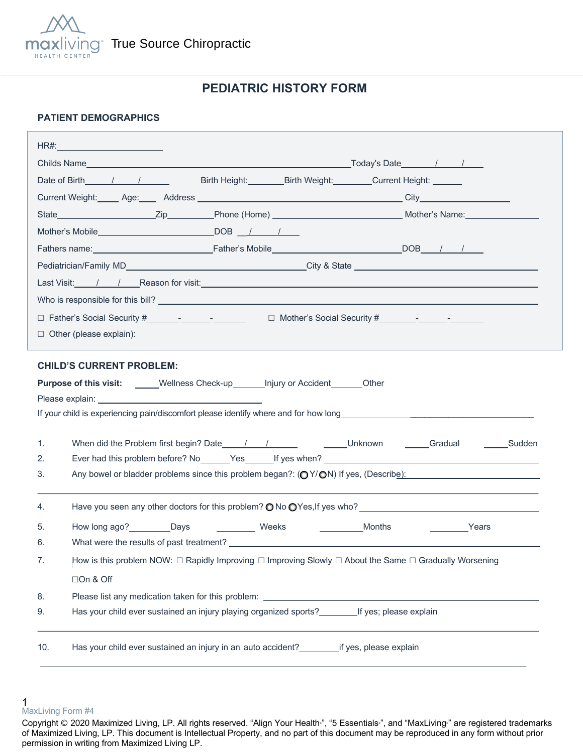

# **PEDIATRIC HISTORY FORM**

### **PATIENT DEMOGRAPHICS**

|                                                                                                                                                                                                                                      | HR#:___________________________                                                                        |  |  |  |
|--------------------------------------------------------------------------------------------------------------------------------------------------------------------------------------------------------------------------------------|--------------------------------------------------------------------------------------------------------|--|--|--|
|                                                                                                                                                                                                                                      |                                                                                                        |  |  |  |
|                                                                                                                                                                                                                                      | Date of Birth 1 1<br>Birth Height: Birth Weight: Current Height: Current Beight:                       |  |  |  |
|                                                                                                                                                                                                                                      |                                                                                                        |  |  |  |
|                                                                                                                                                                                                                                      |                                                                                                        |  |  |  |
|                                                                                                                                                                                                                                      |                                                                                                        |  |  |  |
|                                                                                                                                                                                                                                      |                                                                                                        |  |  |  |
|                                                                                                                                                                                                                                      |                                                                                                        |  |  |  |
| Last Visit: /// Reason for visit: <u>Alexander Control Control Control Control Control Control Control Control Control Control Control Control Control Control Control Control Control Control Control Control Control Control C</u> |                                                                                                        |  |  |  |
|                                                                                                                                                                                                                                      |                                                                                                        |  |  |  |
|                                                                                                                                                                                                                                      |                                                                                                        |  |  |  |
| $\Box$ Other (please explain):                                                                                                                                                                                                       |                                                                                                        |  |  |  |
|                                                                                                                                                                                                                                      |                                                                                                        |  |  |  |
| <b>CHILD'S CURRENT PROBLEM:</b><br><b>Purpose of this visit:</b> _____Wellness Check-up_______ Injury or Accident_______Other                                                                                                        |                                                                                                        |  |  |  |
|                                                                                                                                                                                                                                      |                                                                                                        |  |  |  |
|                                                                                                                                                                                                                                      |                                                                                                        |  |  |  |
| 1.                                                                                                                                                                                                                                   |                                                                                                        |  |  |  |
| 2.                                                                                                                                                                                                                                   |                                                                                                        |  |  |  |
| 3.                                                                                                                                                                                                                                   | Any bowel or bladder problems since this problem began?: (OY/ON) If yes, (Describe):                   |  |  |  |
|                                                                                                                                                                                                                                      |                                                                                                        |  |  |  |
| 4.                                                                                                                                                                                                                                   | Have you seen any other doctors for this problem? $\bigcirc$ No $\bigcirc$ Yes, If yes who?            |  |  |  |
| 5.                                                                                                                                                                                                                                   | How long ago? Days<br>Weeks<br>Months<br><b>Example 2</b> Years                                        |  |  |  |
| 6.                                                                                                                                                                                                                                   |                                                                                                        |  |  |  |
| 7.                                                                                                                                                                                                                                   | How is this problem NOW: □ Rapidly Improving □ Improving Slowly □ About the Same □ Gradually Worsening |  |  |  |
|                                                                                                                                                                                                                                      | □On & Off                                                                                              |  |  |  |
| 8.                                                                                                                                                                                                                                   |                                                                                                        |  |  |  |
| 9.                                                                                                                                                                                                                                   | Has your child ever sustained an injury playing organized sports? If yes; please explain               |  |  |  |
|                                                                                                                                                                                                                                      |                                                                                                        |  |  |  |
| 10.                                                                                                                                                                                                                                  | Has your child ever sustained an injury in an auto accident? _______________if yes, please explain     |  |  |  |
|                                                                                                                                                                                                                                      |                                                                                                        |  |  |  |

<sup>1</sup>  MaxLiving Form #4

Copyright © 2020 Maximized Living, LP. All rights reserved. "Align Your Health<sup>®</sup>, "5 Essentials<sup>®</sup>, and "MaxLiving<sup>®</sup> are registered trademarks of Maximized Living, LP. This document is Intellectual Property, and no part of this document may be reproduced in any form without prior permission in writing from Maximized Living LP.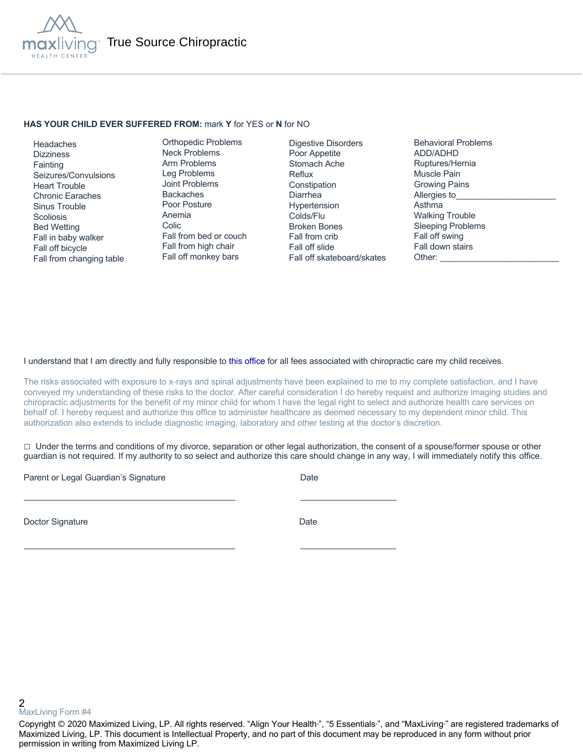

#### **HAS YOUR CHILD EVER SUFFERED FROM:** mark **Y** for YES or **N** for NO

 Headaches **Dizziness Fainting**  Seizures/Convulsions Heart Trouble Chronic Earaches Sinus Trouble **Scoliosis**  Bed Wetting Fall in baby walker Fall off bicycle Fall from changing table

Orthopedic Problems Neck Problems Arm Problems Leg Problems Joint Problems Backaches Poor Posture Anemia Colic Fall from bed or couch Fall from high chair Fall off monkey bars

Digestive Disorders Poor Appetite Stomach Ache Reflux Constipation Diarrhea Hypertension Colds/Flu Broken Bones Fall from crib Fall off slide Fall off skateboard/skates Behavioral Problems ADD/ADHD Ruptures/Hernia Muscle Pain Growing Pains Allergies to Asthma Walking Trouble Sleeping Problems Fall off swing Fall down stairs Other:

### I understand that I am directly and fully responsible to this office for all fees associated with chiropractic care my child receives.

The risks associated with exposure to x-rays and spinal adjustments have been explained to me to my complete satisfaction, and I have conveyed my understanding of these risks to the doctor. After careful consideration I do hereby request and authorize imaging studies and chiropractic adjustments for the benefit of my minor child for whom I have the legal right to select and authorize health care services on behalf of. I hereby request and authorize this office to administer healthcare as deemed necessary to my dependent minor child. This authorization also extends to include diagnostic imaging, laboratory and other testing at the doctor's discretion.

 $\Box$  Under the terms and conditions of my divorce, separation or other legal authorization, the consent of a spouse/former spouse or other guardian is not required. If my authority to so select and authorize this care should change in any way, I will immediately notify this office.

Parent or Legal Guardian's Signature Date Date

Doctor Signature Date

2 MaxLiving Form #4

Copyright © 2020 Maximized Living, LP. All rights reserved. "Align Your Health<sub>"</sub>, "5 Essentials<sub>"</sub>, and "MaxLiving<sub>"</sub> are registered trademarks of Maximized Living, LP. This document is Intellectual Property, and no part of this document may be reproduced in any form without prior permission in writing from Maximized Living LP.